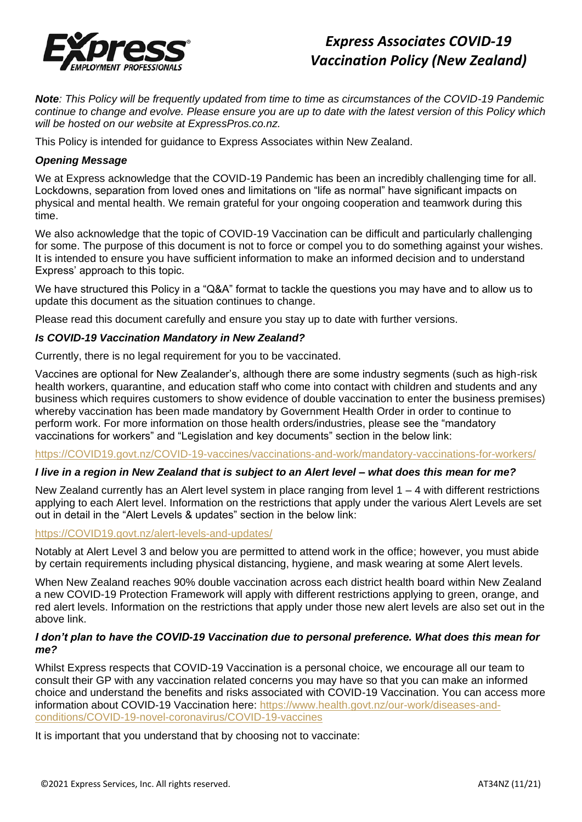

# *Express Associates COVID-19 Vaccination Policy (New Zealand)*

*Note: This Policy will be frequently updated from time to time as circumstances of the COVID-19 Pandemic continue to change and evolve. Please ensure you are up to date with the latest version of this Policy which will be hosted on our website at ExpressPros.co.nz.*

This Policy is intended for guidance to Express Associates within New Zealand.

# *Opening Message*

We at Express acknowledge that the COVID-19 Pandemic has been an incredibly challenging time for all. Lockdowns, separation from loved ones and limitations on "life as normal" have significant impacts on physical and mental health. We remain grateful for your ongoing cooperation and teamwork during this time.

We also acknowledge that the topic of COVID-19 Vaccination can be difficult and particularly challenging for some. The purpose of this document is not to force or compel you to do something against your wishes. It is intended to ensure you have sufficient information to make an informed decision and to understand Express' approach to this topic.

We have structured this Policy in a "Q&A" format to tackle the questions you may have and to allow us to update this document as the situation continues to change.

Please read this document carefully and ensure you stay up to date with further versions.

# *Is COVID-19 Vaccination Mandatory in New Zealand?*

Currently, there is no legal requirement for you to be vaccinated.

Vaccines are optional for New Zealander's, although there are some industry segments (such as high-risk health workers, quarantine, and education staff who come into contact with children and students and any business which requires customers to show evidence of double vaccination to enter the business premises) whereby vaccination has been made mandatory by Government Health Order in order to continue to perform work. For more information on those health orders/industries, please see the "mandatory vaccinations for workers" and "Legislation and key documents" section in the below link:

#### [https://COVID19.govt.nz/COVID-19-vaccines/vaccinations-and-work/mandatory-vaccinations-for-workers/](https://covid19.govt.nz/covid-19-vaccines/vaccinations-and-work/mandatory-vaccinations-for-workers/)

# *I live in a region in New Zealand that is subject to an Alert level – what does this mean for me?*

New Zealand currently has an Alert level system in place ranging from level 1 – 4 with different restrictions applying to each Alert level. Information on the restrictions that apply under the various Alert Levels are set out in detail in the "Alert Levels & updates" section in the below link:

#### [https://COVID19.govt.nz/alert-levels-and-updates/](https://covid19.govt.nz/alert-levels-and-updates/)

Notably at Alert Level 3 and below you are permitted to attend work in the office; however, you must abide by certain requirements including physical distancing, hygiene, and mask wearing at some Alert levels.

When New Zealand reaches 90% double vaccination across each district health board within New Zealand a new COVID-19 Protection Framework will apply with different restrictions applying to green, orange, and red alert levels. Information on the restrictions that apply under those new alert levels are also set out in the above link.

### *I don't plan to have the COVID-19 Vaccination due to personal preference. What does this mean for me?*

Whilst Express respects that COVID-19 Vaccination is a personal choice, we encourage all our team to consult their GP with any vaccination related concerns you may have so that you can make an informed choice and understand the benefits and risks associated with COVID-19 Vaccination. You can access more information about COVID-19 Vaccination here: [https://www.health.govt.nz/our-work/diseases-and](https://www.health.govt.nz/our-work/diseases-and-conditions/covid-19-novel-coronavirus/covid-19-vaccines)[conditions/COVID-19-novel-coronavirus/COVID-19-vaccines](https://www.health.govt.nz/our-work/diseases-and-conditions/covid-19-novel-coronavirus/covid-19-vaccines)

It is important that you understand that by choosing not to vaccinate: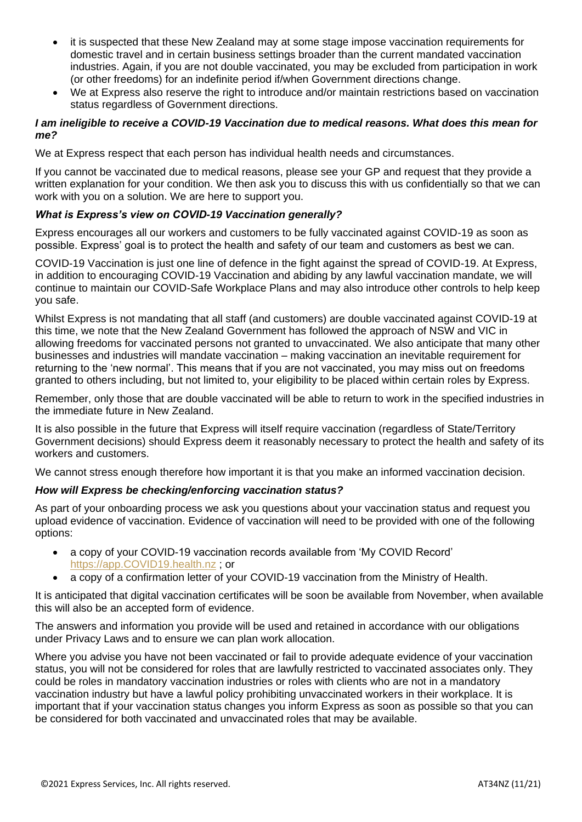- it is suspected that these New Zealand may at some stage impose vaccination requirements for domestic travel and in certain business settings broader than the current mandated vaccination industries. Again, if you are not double vaccinated, you may be excluded from participation in work (or other freedoms) for an indefinite period if/when Government directions change.
- We at Express also reserve the right to introduce and/or maintain restrictions based on vaccination status regardless of Government directions.

## *I am ineligible to receive a COVID-19 Vaccination due to medical reasons. What does this mean for me?*

We at Express respect that each person has individual health needs and circumstances.

If you cannot be vaccinated due to medical reasons, please see your GP and request that they provide a written explanation for your condition. We then ask you to discuss this with us confidentially so that we can work with you on a solution. We are here to support you.

# *What is Express's view on COVID-19 Vaccination generally?*

Express encourages all our workers and customers to be fully vaccinated against COVID-19 as soon as possible. Express' goal is to protect the health and safety of our team and customers as best we can.

COVID-19 Vaccination is just one line of defence in the fight against the spread of COVID-19. At Express, in addition to encouraging COVID-19 Vaccination and abiding by any lawful vaccination mandate, we will continue to maintain our COVID-Safe Workplace Plans and may also introduce other controls to help keep you safe.

Whilst Express is not mandating that all staff (and customers) are double vaccinated against COVID-19 at this time, we note that the New Zealand Government has followed the approach of NSW and VIC in allowing freedoms for vaccinated persons not granted to unvaccinated. We also anticipate that many other businesses and industries will mandate vaccination – making vaccination an inevitable requirement for returning to the 'new normal'. This means that if you are not vaccinated, you may miss out on freedoms granted to others including, but not limited to, your eligibility to be placed within certain roles by Express.

Remember, only those that are double vaccinated will be able to return to work in the specified industries in the immediate future in New Zealand.

It is also possible in the future that Express will itself require vaccination (regardless of State/Territory Government decisions) should Express deem it reasonably necessary to protect the health and safety of its workers and customers.

We cannot stress enough therefore how important it is that you make an informed vaccination decision.

# *How will Express be checking/enforcing vaccination status?*

As part of your onboarding process we ask you questions about your vaccination status and request you upload evidence of vaccination. Evidence of vaccination will need to be provided with one of the following options:

- a copy of your COVID-19 vaccination records available from 'My COVID Record' [https://app.COVID19.health.nz](https://app.covid19.health.nz/) ; or
- a copy of a confirmation letter of your COVID-19 vaccination from the Ministry of Health.

It is anticipated that digital vaccination certificates will be soon be available from November, when available this will also be an accepted form of evidence.

The answers and information you provide will be used and retained in accordance with our obligations under Privacy Laws and to ensure we can plan work allocation.

Where you advise you have not been vaccinated or fail to provide adequate evidence of your vaccination status, you will not be considered for roles that are lawfully restricted to vaccinated associates only. They could be roles in mandatory vaccination industries or roles with clients who are not in a mandatory vaccination industry but have a lawful policy prohibiting unvaccinated workers in their workplace. It is important that if your vaccination status changes you inform Express as soon as possible so that you can be considered for both vaccinated and unvaccinated roles that may be available.